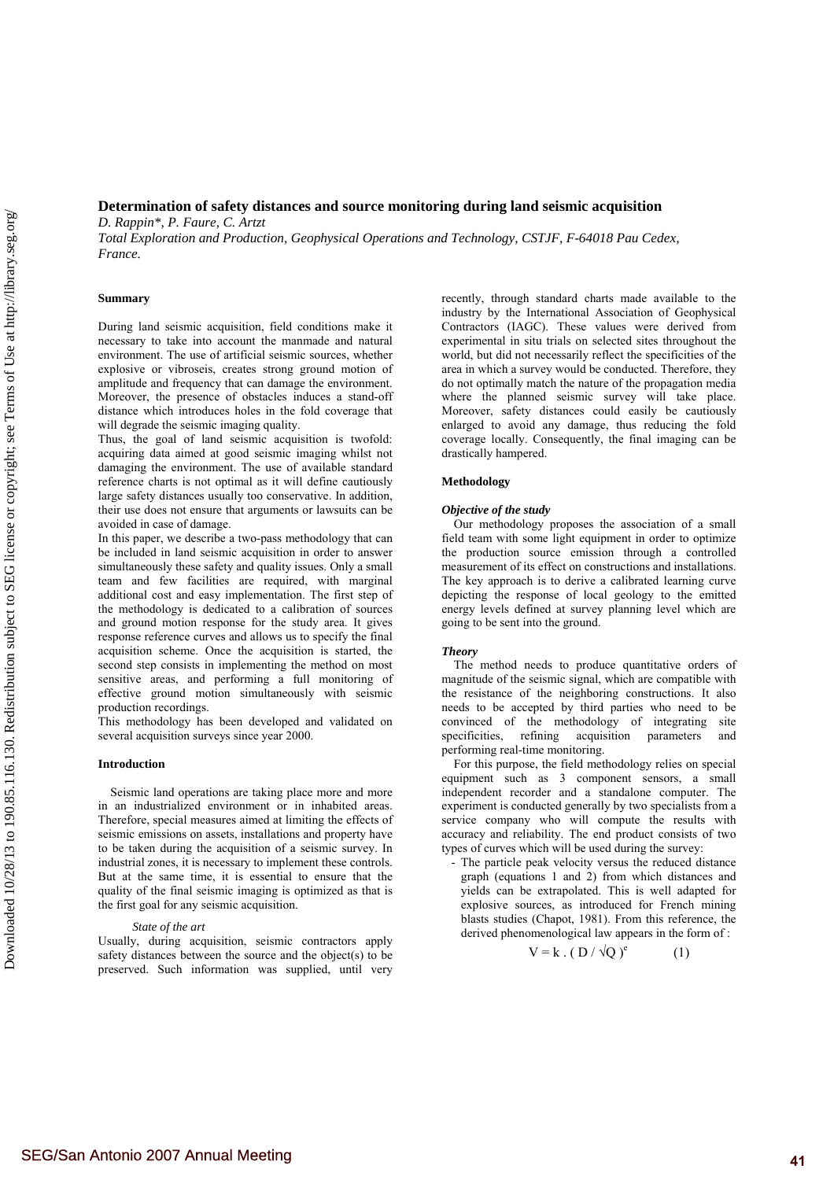# **Determination of safety distances and source monitoring during land seismic acquisition**

*D. Rappin\*, P. Faure, C. Artzt Total Exploration and Production, Geophysical Operations and Technology, CSTJF, F-64018 Pau Cedex, France.* 

## **Summary**

During land seismic acquisition, field conditions make it necessary to take into account the manmade and natural environment. The use of artificial seismic sources, whether explosive or vibroseis, creates strong ground motion of amplitude and frequency that can damage the environment. Moreover, the presence of obstacles induces a stand-off distance which introduces holes in the fold coverage that will degrade the seismic imaging quality.

Thus, the goal of land seismic acquisition is twofold: acquiring data aimed at good seismic imaging whilst not damaging the environment. The use of available standard reference charts is not optimal as it will define cautiously large safety distances usually too conservative. In addition, their use does not ensure that arguments or lawsuits can be avoided in case of damage.

In this paper, we describe a two-pass methodology that can be included in land seismic acquisition in order to answer simultaneously these safety and quality issues. Only a small team and few facilities are required, with marginal additional cost and easy implementation. The first step of the methodology is dedicated to a calibration of sources and ground motion response for the study area. It gives response reference curves and allows us to specify the final acquisition scheme. Once the acquisition is started, the second step consists in implementing the method on most sensitive areas, and performing a full monitoring of effective ground motion simultaneously with seismic production recordings.

This methodology has been developed and validated on several acquisition surveys since year 2000.

## **Introduction**

Seismic land operations are taking place more and more in an industrialized environment or in inhabited areas. Therefore, special measures aimed at limiting the effects of seismic emissions on assets, installations and property have to be taken during the acquisition of a seismic survey. In industrial zones, it is necessary to implement these controls. But at the same time, it is essential to ensure that the quality of the final seismic imaging is optimized as that is the first goal for any seismic acquisition.

#### *State of the art*

Usually, during acquisition, seismic contractors apply safety distances between the source and the object(s) to be preserved. Such information was supplied, until very recently, through standard charts made available to the industry by the International Association of Geophysical Contractors (IAGC). These values were derived from experimental in situ trials on selected sites throughout the world, but did not necessarily reflect the specificities of the area in which a survey would be conducted. Therefore, they do not optimally match the nature of the propagation media where the planned seismic survey will take place. Moreover, safety distances could easily be cautiously enlarged to avoid any damage, thus reducing the fold coverage locally. Consequently, the final imaging can be drastically hampered.

#### **Methodology**

#### *Objective of the study*

Our methodology proposes the association of a small field team with some light equipment in order to optimize the production source emission through a controlled measurement of its effect on constructions and installations. The key approach is to derive a calibrated learning curve depicting the response of local geology to the emitted energy levels defined at survey planning level which are going to be sent into the ground.

#### *Theory*

The method needs to produce quantitative orders of magnitude of the seismic signal, which are compatible with the resistance of the neighboring constructions. It also needs to be accepted by third parties who need to be convinced of the methodology of integrating site<br>specificities, refining acquisition parameters and specificities, refining acquisition parameters and performing real-time monitoring.

For this purpose, the field methodology relies on special equipment such as 3 component sensors, a small independent recorder and a standalone computer. The experiment is conducted generally by two specialists from a service company who will compute the results with accuracy and reliability. The end product consists of two types of curves which will be used during the survey:

- The particle peak velocity versus the reduced distance graph (equations 1 and 2) from which distances and yields can be extrapolated. This is well adapted for explosive sources, as introduced for French mining blasts studies (Chapot, 1981). From this reference, the derived phenomenological law appears in the form of :

$$
V = k \cdot (D / \sqrt{Q})^e \tag{1}
$$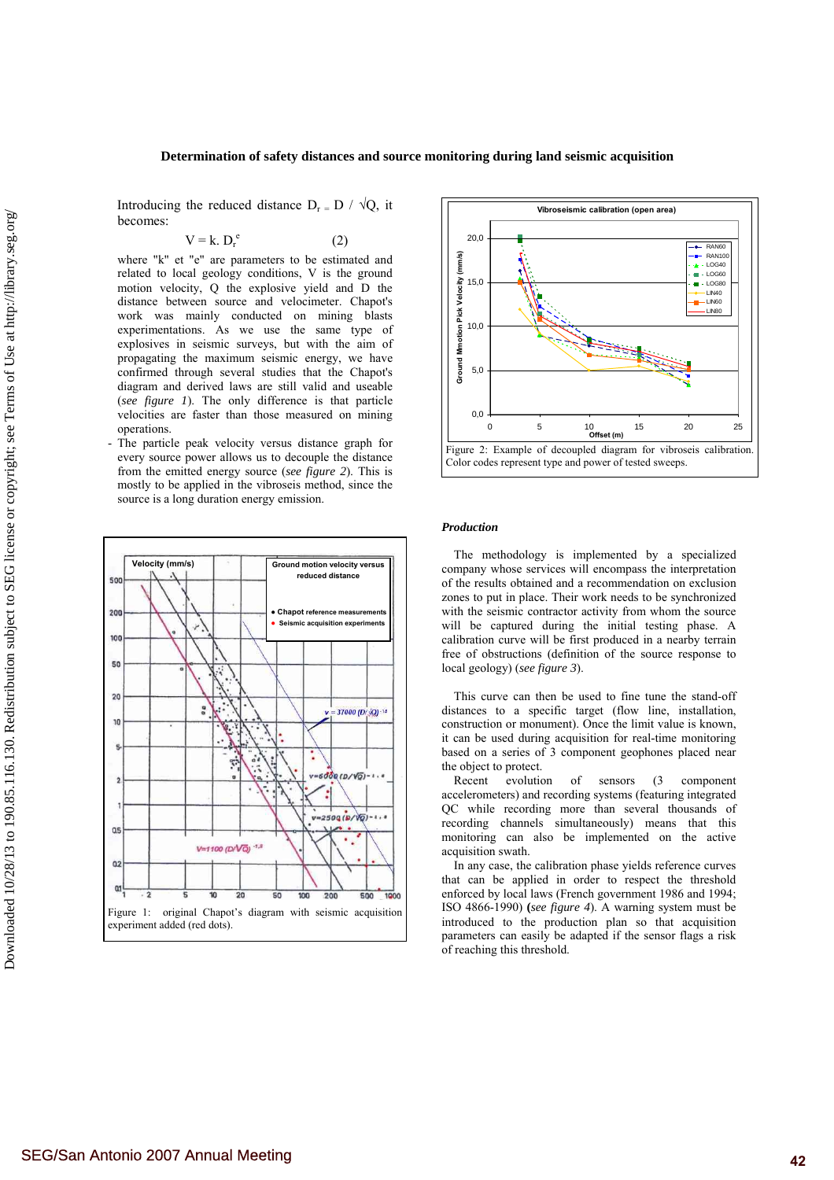#### **Determination of safety distances and source monitoring during land seismic acquisition**

Introducing the reduced distance  $D_r = D / \sqrt{Q}$ , it becomes:

$$
V = k. D_r^e
$$
 (2)

where "k" et "e" are parameters to be estimated and related to local geology conditions, V is the ground motion velocity, Q the explosive yield and D the distance between source and velocimeter. Chapot's work was mainly conducted on mining blasts experimentations. As we use the same type of explosives in seismic surveys, but with the aim of propagating the maximum seismic energy, we have confirmed through several studies that the Chapot's diagram and derived laws are still valid and useable (*see figure 1*). The only difference is that particle velocities are faster than those measured on mining operations.

- The particle peak velocity versus distance graph for every source power allows us to decouple the distance from the emitted energy source (*see figure 2*). This is mostly to be applied in the vibroseis method, since the source is a long duration energy emission.





#### *Production*

The methodology is implemented by a specialized company whose services will encompass the interpretation of the results obtained and a recommendation on exclusion zones to put in place. Their work needs to be synchronized with the seismic contractor activity from whom the source will be captured during the initial testing phase. A calibration curve will be first produced in a nearby terrain free of obstructions (definition of the source response to local geology) (*see figure 3*).

This curve can then be used to fine tune the stand-off distances to a specific target (flow line, installation, construction or monument). Once the limit value is known, it can be used during acquisition for real-time monitoring based on a series of 3 component geophones placed near the object to protect.

Recent evolution of sensors (3 component accelerometers) and recording systems (featuring integrated QC while recording more than several thousands of recording channels simultaneously) means that this monitoring can also be implemented on the active acquisition swath.

In any case, the calibration phase yields reference curves that can be applied in order to respect the threshold enforced by local laws (French government 1986 and 1994; ISO 4866-1990) **(***see figure 4*). A warning system must be introduced to the production plan so that acquisition parameters can easily be adapted if the sensor flags a risk of reaching this threshold.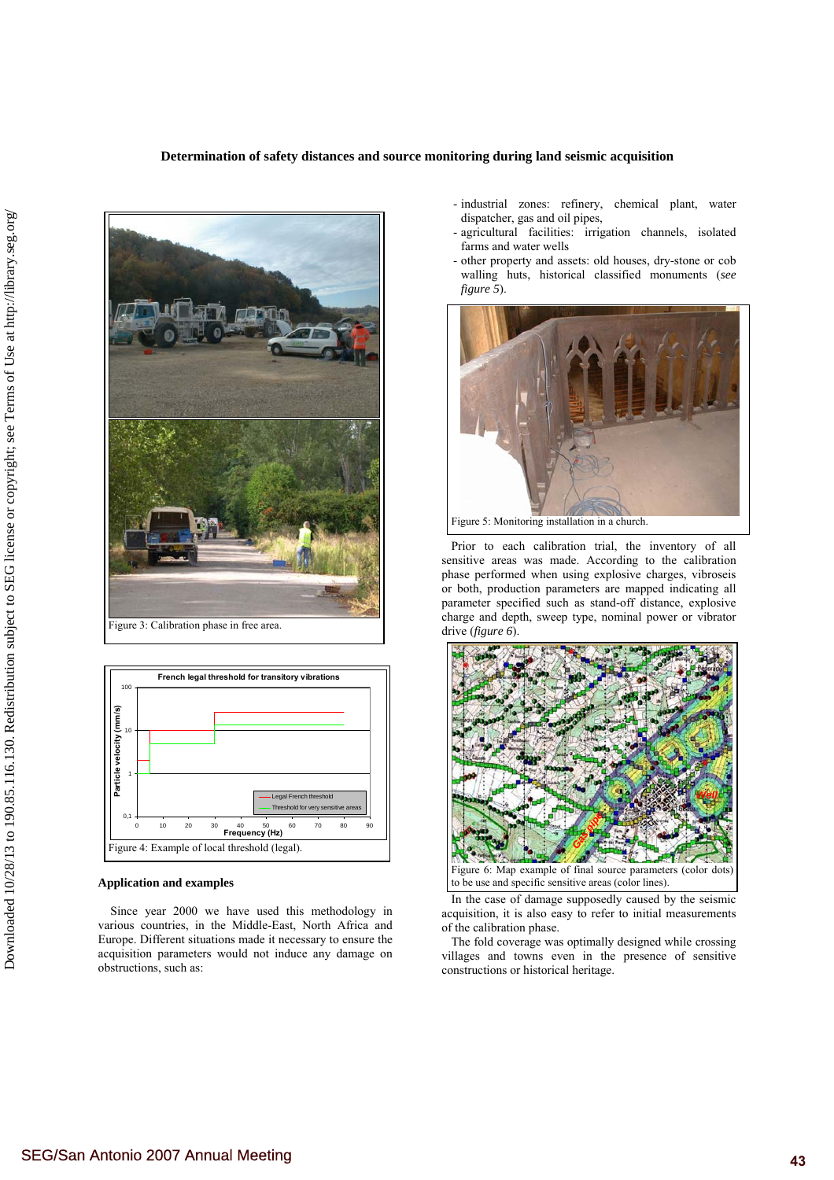



### **Application and examples**

Since year 2000 we have used this methodology in various countries, in the Middle-East, North Africa and Europe. Different situations made it necessary to ensure the acquisition parameters would not induce any damage on obstructions, such as:

- industrial zones: refinery, chemical plant, water dispatcher, gas and oil pipes,
- agricultural facilities: irrigation channels, isolated farms and water wells
- other property and assets: old houses, dry-stone or cob walling huts, historical classified monuments (*see figure 5*).



Prior to each calibration trial, the inventory of all sensitive areas was made. According to the calibration phase performed when using explosive charges, vibroseis or both, production parameters are mapped indicating all parameter specified such as stand-off distance, explosive charge and depth, sweep type, nominal power or vibrator drive (*figure 6*).



Figure 6: Map example of final source parameters (color dots) to be use and specific sensitive areas (color lines).

In the case of damage supposedly caused by the seismic acquisition, it is also easy to refer to initial measurements of the calibration phase.

The fold coverage was optimally designed while crossing villages and towns even in the presence of sensitive constructions or historical heritage.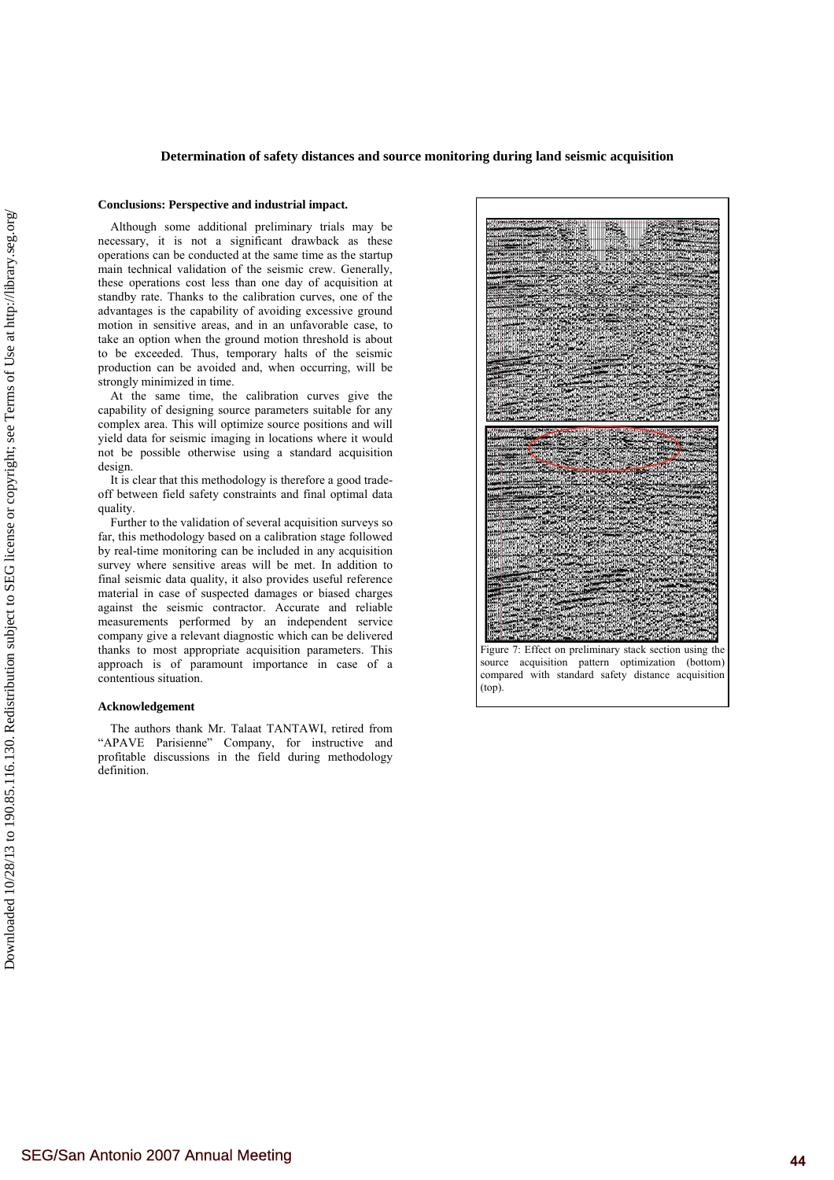## **Determination of safety distances and source monitoring during land seismic acquisition**

### **Conclusions: Perspective and industrial impact.**

Although some additional preliminary trials may be necessary, it is not a significant drawback as these operations can be conducted at the same time as the startup main technical validation of the seismic crew. Generally, these operations cost less than one day of acquisition at standby rate. Thanks to the calibration curves, one of the advantages is the capability of avoiding excessive ground motion in sensitive areas, and in an unfavorable case, to take an option when the ground motion threshold is about to be exceeded. Thus, temporary halts of the seismic production can be avoided and, when occurring, will be strongly minimized in time.

At the same time, the calibration curves give the capability of designing source parameters suitable for any complex area. This will optimize source positions and will yield data for seismic imaging in locations where it would not be possible otherwise using a standard acquisition design.

It is clear that this methodology is therefore a good tradeoff between field safety constraints and final optimal data quality.

Further to the validation of several acquisition surveys so far, this methodology based on a calibration stage followed by real-time monitoring can be included in any acquisition survey where sensitive areas will be met. In addition to final seismic data quality, it also provides useful reference material in case of suspected damages or biased charges against the seismic contractor. Accurate and reliable measurements performed by an independent service company give a relevant diagnostic which can be delivered thanks to most appropriate acquisition parameters. This approach is of paramount importance in case of a contentious situation.

#### **Acknowledgement**

The authors thank Mr. Talaat TANTAWI, retired from "APAVE Parisienne" Company, for instructive and profitable discussions in the field during methodology definition.